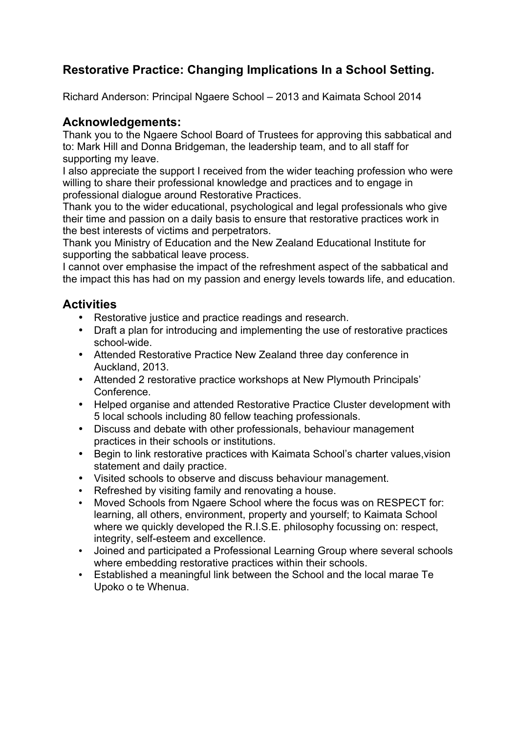# **Restorative Practice: Changing Implications In a School Setting.**

Richard Anderson: Principal Ngaere School – 2013 and Kaimata School 2014

#### **Acknowledgements:**

Thank you to the Ngaere School Board of Trustees for approving this sabbatical and to: Mark Hill and Donna Bridgeman, the leadership team, and to all staff for supporting my leave.

I also appreciate the support I received from the wider teaching profession who were willing to share their professional knowledge and practices and to engage in professional dialogue around Restorative Practices.

Thank you to the wider educational, psychological and legal professionals who give their time and passion on a daily basis to ensure that restorative practices work in the best interests of victims and perpetrators.

Thank you Ministry of Education and the New Zealand Educational Institute for supporting the sabbatical leave process.

I cannot over emphasise the impact of the refreshment aspect of the sabbatical and the impact this has had on my passion and energy levels towards life, and education.

## **Activities**

- Restorative justice and practice readings and research.
- Draft a plan for introducing and implementing the use of restorative practices school-wide.
- Attended Restorative Practice New Zealand three day conference in Auckland, 2013.
- Attended 2 restorative practice workshops at New Plymouth Principals' Conference.
- Helped organise and attended Restorative Practice Cluster development with 5 local schools including 80 fellow teaching professionals.
- Discuss and debate with other professionals, behaviour management practices in their schools or institutions.
- Begin to link restorative practices with Kaimata School's charter values,vision statement and daily practice.
- Visited schools to observe and discuss behaviour management.
- Refreshed by visiting family and renovating a house.<br>• Moved Schools from Ngaere School where the focus
- Moved Schools from Ngaere School where the focus was on RESPECT for: learning, all others, environment, property and yourself; to Kaimata School where we quickly developed the R.I.S.E. philosophy focussing on: respect, integrity, self-esteem and excellence.
- Joined and participated a Professional Learning Group where several schools where embedding restorative practices within their schools.
- Established a meaningful link between the School and the local marae Te Upoko o te Whenua.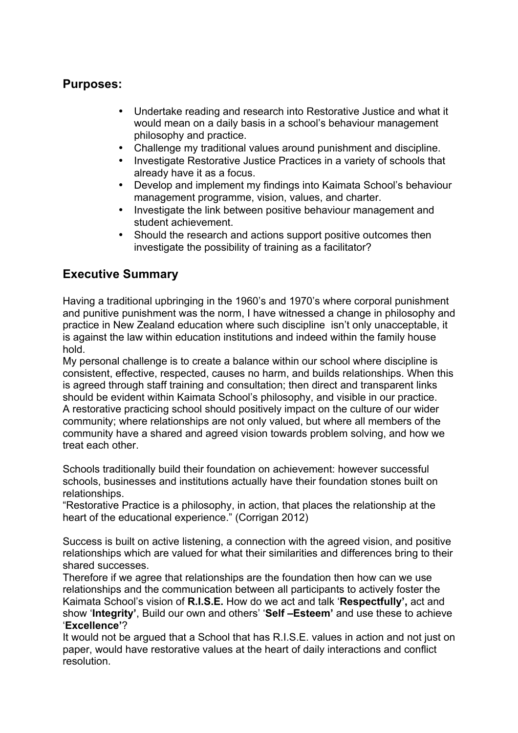## **Purposes:**

- Undertake reading and research into Restorative Justice and what it would mean on a daily basis in a school's behaviour management philosophy and practice.
- Challenge my traditional values around punishment and discipline.
- Investigate Restorative Justice Practices in a variety of schools that already have it as a focus.
- Develop and implement my findings into Kaimata School's behaviour management programme, vision, values, and charter.
- Investigate the link between positive behaviour management and student achievement.
- Should the research and actions support positive outcomes then investigate the possibility of training as a facilitator?

## **Executive Summary**

Having a traditional upbringing in the 1960's and 1970's where corporal punishment and punitive punishment was the norm, I have witnessed a change in philosophy and practice in New Zealand education where such discipline isn't only unacceptable, it is against the law within education institutions and indeed within the family house hold.

My personal challenge is to create a balance within our school where discipline is consistent, effective, respected, causes no harm, and builds relationships. When this is agreed through staff training and consultation; then direct and transparent links should be evident within Kaimata School's philosophy, and visible in our practice. A restorative practicing school should positively impact on the culture of our wider community; where relationships are not only valued, but where all members of the community have a shared and agreed vision towards problem solving, and how we treat each other.

Schools traditionally build their foundation on achievement: however successful schools, businesses and institutions actually have their foundation stones built on relationships.

"Restorative Practice is a philosophy, in action, that places the relationship at the heart of the educational experience." (Corrigan 2012)

Success is built on active listening, a connection with the agreed vision, and positive relationships which are valued for what their similarities and differences bring to their shared successes.

Therefore if we agree that relationships are the foundation then how can we use relationships and the communication between all participants to actively foster the Kaimata School's vision of **R.I.S.E.** How do we act and talk '**Respectfully',** act and show '**Integrity'**, Build our own and others' '**Self –Esteem'** and use these to achieve '**Excellence'**?

It would not be argued that a School that has R.I.S.E. values in action and not just on paper, would have restorative values at the heart of daily interactions and conflict resolution.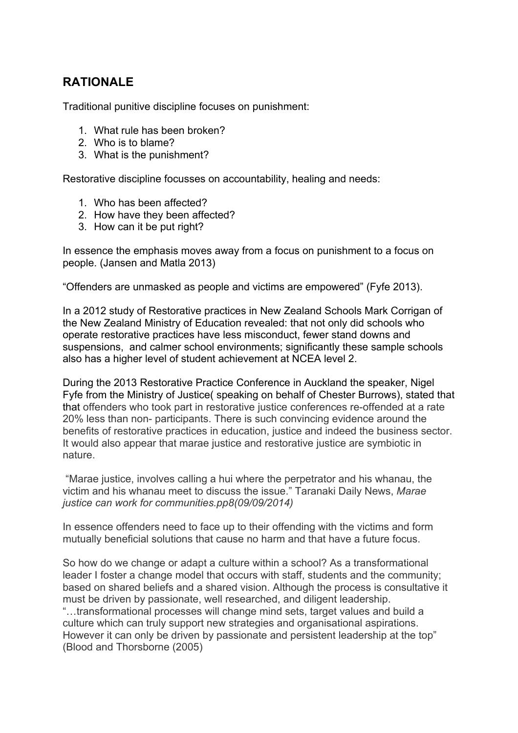## **RATIONALE**

Traditional punitive discipline focuses on punishment:

- 1. What rule has been broken?
- 2. Who is to blame?
- 3. What is the punishment?

Restorative discipline focusses on accountability, healing and needs:

- 1. Who has been affected?
- 2. How have they been affected?
- 3. How can it be put right?

In essence the emphasis moves away from a focus on punishment to a focus on people. (Jansen and Matla 2013)

"Offenders are unmasked as people and victims are empowered" (Fyfe 2013).

In a 2012 study of Restorative practices in New Zealand Schools Mark Corrigan of the New Zealand Ministry of Education revealed: that not only did schools who operate restorative practices have less misconduct, fewer stand downs and suspensions, and calmer school environments; significantly these sample schools also has a higher level of student achievement at NCEA level 2.

During the 2013 Restorative Practice Conference in Auckland the speaker, Nigel Fyfe from the Ministry of Justice( speaking on behalf of Chester Burrows), stated that that offenders who took part in restorative justice conferences re-offended at a rate 20% less than non- participants. There is such convincing evidence around the benefits of restorative practices in education, justice and indeed the business sector. It would also appear that marae justice and restorative justice are symbiotic in nature.

"Marae justice, involves calling a hui where the perpetrator and his whanau, the victim and his whanau meet to discuss the issue." Taranaki Daily News, *Marae justice can work for communities.pp8(09/09/2014)*

In essence offenders need to face up to their offending with the victims and form mutually beneficial solutions that cause no harm and that have a future focus.

So how do we change or adapt a culture within a school? As a transformational leader I foster a change model that occurs with staff, students and the community; based on shared beliefs and a shared vision. Although the process is consultative it must be driven by passionate, well researched, and diligent leadership. "…transformational processes will change mind sets, target values and build a culture which can truly support new strategies and organisational aspirations. However it can only be driven by passionate and persistent leadership at the top" (Blood and Thorsborne (2005)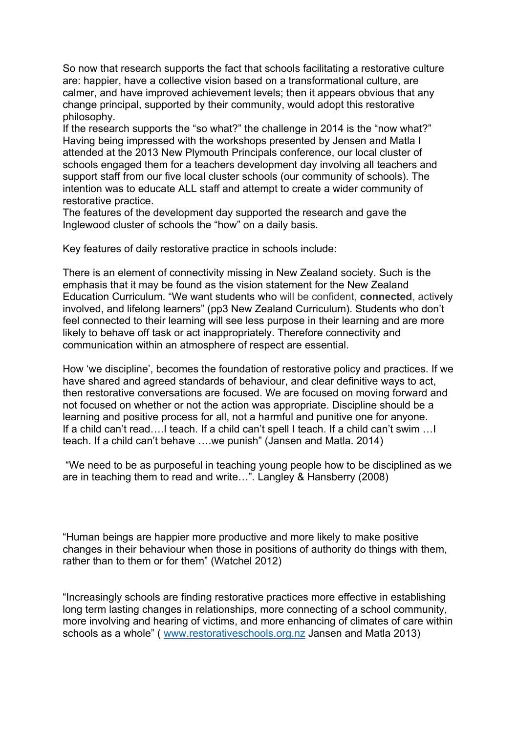So now that research supports the fact that schools facilitating a restorative culture are: happier, have a collective vision based on a transformational culture, are calmer, and have improved achievement levels; then it appears obvious that any change principal, supported by their community, would adopt this restorative philosophy.

If the research supports the "so what?" the challenge in 2014 is the "now what?" Having being impressed with the workshops presented by Jensen and Matla I attended at the 2013 New Plymouth Principals conference, our local cluster of schools engaged them for a teachers development day involving all teachers and support staff from our five local cluster schools (our community of schools). The intention was to educate ALL staff and attempt to create a wider community of restorative practice.

The features of the development day supported the research and gave the Inglewood cluster of schools the "how" on a daily basis.

Key features of daily restorative practice in schools include:

There is an element of connectivity missing in New Zealand society. Such is the emphasis that it may be found as the vision statement for the New Zealand Education Curriculum. "We want students who will be confident, **connected**, actively involved, and lifelong learners" (pp3 New Zealand Curriculum). Students who don't feel connected to their learning will see less purpose in their learning and are more likely to behave off task or act inappropriately. Therefore connectivity and communication within an atmosphere of respect are essential.

How 'we discipline', becomes the foundation of restorative policy and practices. If we have shared and agreed standards of behaviour, and clear definitive ways to act, then restorative conversations are focused. We are focused on moving forward and not focused on whether or not the action was appropriate. Discipline should be a learning and positive process for all, not a harmful and punitive one for anyone. If a child can't read….I teach. If a child can't spell I teach. If a child can't swim …I teach. If a child can't behave ….we punish" (Jansen and Matla. 2014)

"We need to be as purposeful in teaching young people how to be disciplined as we are in teaching them to read and write…". Langley & Hansberry (2008)

"Human beings are happier more productive and more likely to make positive changes in their behaviour when those in positions of authority do things with them, rather than to them or for them" (Watchel 2012)

"Increasingly schools are finding restorative practices more effective in establishing long term lasting changes in relationships, more connecting of a school community, more involving and hearing of victims, and more enhancing of climates of care within schools as a whole" ( www.restorativeschools.org.nz Jansen and Matla 2013)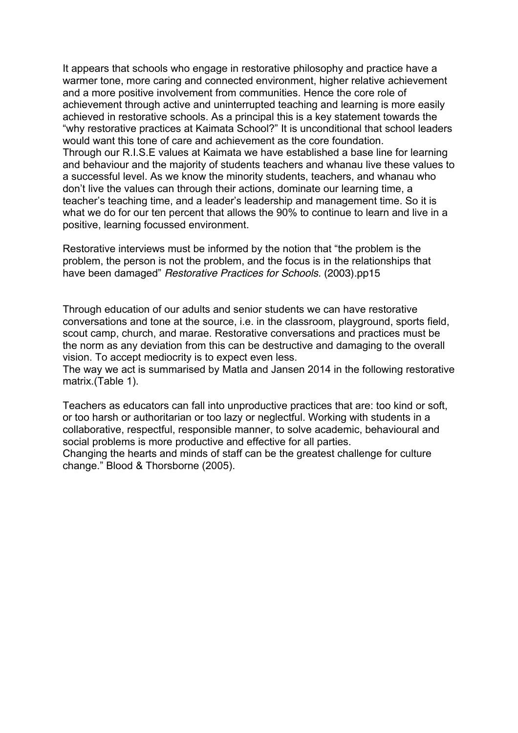It appears that schools who engage in restorative philosophy and practice have a warmer tone, more caring and connected environment, higher relative achievement and a more positive involvement from communities. Hence the core role of achievement through active and uninterrupted teaching and learning is more easily achieved in restorative schools. As a principal this is a key statement towards the "why restorative practices at Kaimata School?" It is unconditional that school leaders would want this tone of care and achievement as the core foundation. Through our R.I.S.E values at Kaimata we have established a base line for learning and behaviour and the majority of students teachers and whanau live these values to a successful level. As we know the minority students, teachers, and whanau who don't live the values can through their actions, dominate our learning time, a teacher's teaching time, and a leader's leadership and management time. So it is what we do for our ten percent that allows the 90% to continue to learn and live in a positive, learning focussed environment.

Restorative interviews must be informed by the notion that "the problem is the problem, the person is not the problem, and the focus is in the relationships that have been damaged" *Restorative Practices for Schools.* (2003).pp15

Through education of our adults and senior students we can have restorative conversations and tone at the source, i.e. in the classroom, playground, sports field, scout camp, church, and marae. Restorative conversations and practices must be the norm as any deviation from this can be destructive and damaging to the overall vision. To accept mediocrity is to expect even less.

The way we act is summarised by Matla and Jansen 2014 in the following restorative matrix.(Table 1).

Teachers as educators can fall into unproductive practices that are: too kind or soft, or too harsh or authoritarian or too lazy or neglectful. Working with students in a collaborative, respectful, responsible manner, to solve academic, behavioural and social problems is more productive and effective for all parties. Changing the hearts and minds of staff can be the greatest challenge for culture change." Blood & Thorsborne (2005).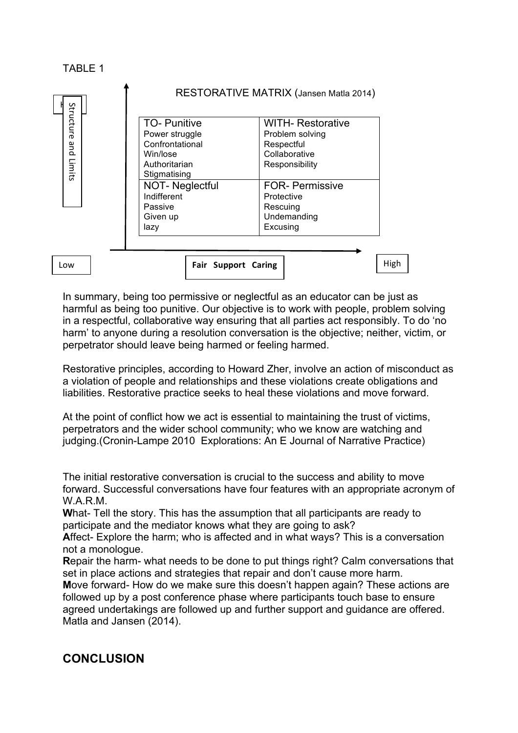

In summary, being too permissive or neglectful as an educator can be just as harmful as being too punitive. Our objective is to work with people, problem solving in a respectful, collaborative way ensuring that all parties act responsibly. To do 'no harm' to anyone during a resolution conversation is the objective; neither, victim, or perpetrator should leave being harmed or feeling harmed.

Restorative principles, according to Howard Zher, involve an action of misconduct as a violation of people and relationships and these violations create obligations and liabilities. Restorative practice seeks to heal these violations and move forward.

At the point of conflict how we act is essential to maintaining the trust of victims, perpetrators and the wider school community; who we know are watching and judging.(Cronin-Lampe 2010 Explorations: An E Journal of Narrative Practice)

The initial restorative conversation is crucial to the success and ability to move forward. Successful conversations have four features with an appropriate acronym of W.A.R.M.

**W**hat- Tell the story. This has the assumption that all participants are ready to participate and the mediator knows what they are going to ask?

**A**ffect- Explore the harm; who is affected and in what ways? This is a conversation not a monologue.

**R**epair the harm- what needs to be done to put things right? Calm conversations that set in place actions and strategies that repair and don't cause more harm.

**M**ove forward- How do we make sure this doesn't happen again? These actions are followed up by a post conference phase where participants touch base to ensure agreed undertakings are followed up and further support and guidance are offered. Matla and Jansen (2014).

## **CONCLUSION**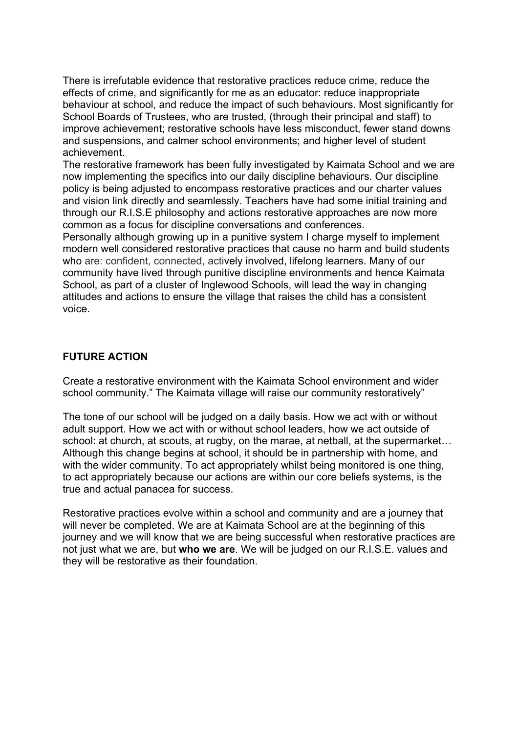There is irrefutable evidence that restorative practices reduce crime, reduce the effects of crime, and significantly for me as an educator: reduce inappropriate behaviour at school, and reduce the impact of such behaviours. Most significantly for School Boards of Trustees, who are trusted, (through their principal and staff) to improve achievement; restorative schools have less misconduct, fewer stand downs and suspensions, and calmer school environments; and higher level of student achievement.

The restorative framework has been fully investigated by Kaimata School and we are now implementing the specifics into our daily discipline behaviours. Our discipline policy is being adjusted to encompass restorative practices and our charter values and vision link directly and seamlessly. Teachers have had some initial training and through our R.I.S.E philosophy and actions restorative approaches are now more common as a focus for discipline conversations and conferences.

Personally although growing up in a punitive system I charge myself to implement modern well considered restorative practices that cause no harm and build students who are: confident, connected, actively involved, lifelong learners. Many of our community have lived through punitive discipline environments and hence Kaimata School, as part of a cluster of Inglewood Schools, will lead the way in changing attitudes and actions to ensure the village that raises the child has a consistent voice.

#### **FUTURE ACTION**

Create a restorative environment with the Kaimata School environment and wider school community." The Kaimata village will raise our community restoratively"

The tone of our school will be judged on a daily basis. How we act with or without adult support. How we act with or without school leaders, how we act outside of school: at church, at scouts, at rugby, on the marae, at netball, at the supermarket… Although this change begins at school, it should be in partnership with home, and with the wider community. To act appropriately whilst being monitored is one thing, to act appropriately because our actions are within our core beliefs systems, is the true and actual panacea for success.

Restorative practices evolve within a school and community and are a journey that will never be completed. We are at Kaimata School are at the beginning of this journey and we will know that we are being successful when restorative practices are not just what we are, but **who we are**. We will be judged on our R.I.S.E. values and they will be restorative as their foundation.